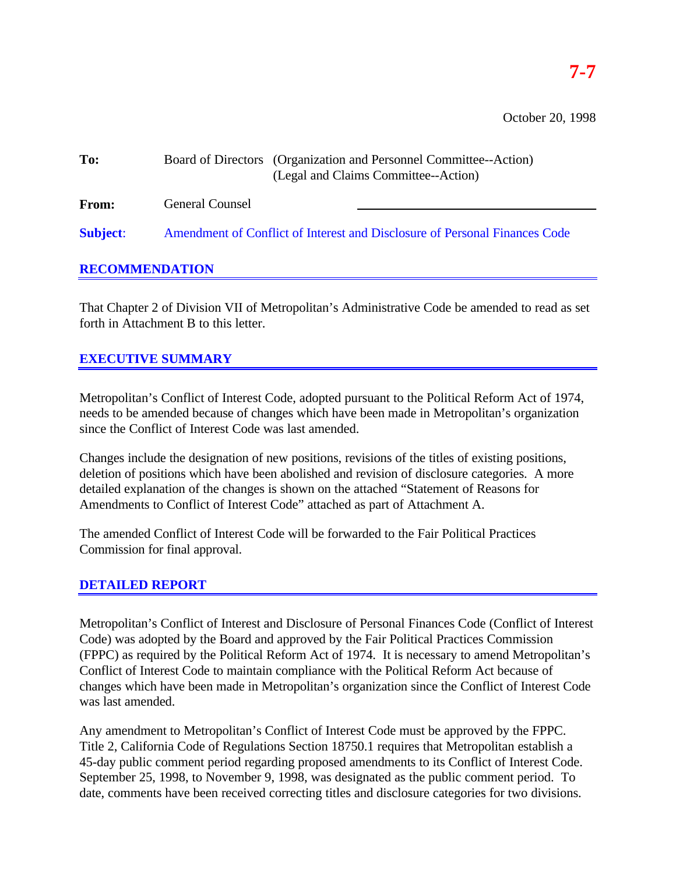October 20, 1998

| To:             | Board of Directors (Organization and Personnel Committee--Action)<br>(Legal and Claims Committee--Action) |  |
|-----------------|-----------------------------------------------------------------------------------------------------------|--|
| <b>From:</b>    | <b>General Counsel</b>                                                                                    |  |
| <b>Subject:</b> | Amendment of Conflict of Interest and Disclosure of Personal Finances Code                                |  |

# **RECOMMENDATION**

That Chapter 2 of Division VII of Metropolitan's Administrative Code be amended to read as set forth in Attachment B to this letter.

# **EXECUTIVE SUMMARY**

Metropolitan's Conflict of Interest Code, adopted pursuant to the Political Reform Act of 1974, needs to be amended because of changes which have been made in Metropolitan's organization since the Conflict of Interest Code was last amended.

Changes include the designation of new positions, revisions of the titles of existing positions, deletion of positions which have been abolished and revision of disclosure categories. A more detailed explanation of the changes is shown on the attached "Statement of Reasons for Amendments to Conflict of Interest Code" attached as part of Attachment A.

The amended Conflict of Interest Code will be forwarded to the Fair Political Practices Commission for final approval.

# **DETAILED REPORT**

Metropolitan's Conflict of Interest and Disclosure of Personal Finances Code (Conflict of Interest Code) was adopted by the Board and approved by the Fair Political Practices Commission (FPPC) as required by the Political Reform Act of 1974. It is necessary to amend Metropolitan's Conflict of Interest Code to maintain compliance with the Political Reform Act because of changes which have been made in Metropolitan's organization since the Conflict of Interest Code was last amended.

Any amendment to Metropolitan's Conflict of Interest Code must be approved by the FPPC. Title 2, California Code of Regulations Section 18750.1 requires that Metropolitan establish a 45-day public comment period regarding proposed amendments to its Conflict of Interest Code. September 25, 1998, to November 9, 1998, was designated as the public comment period. To date, comments have been received correcting titles and disclosure categories for two divisions.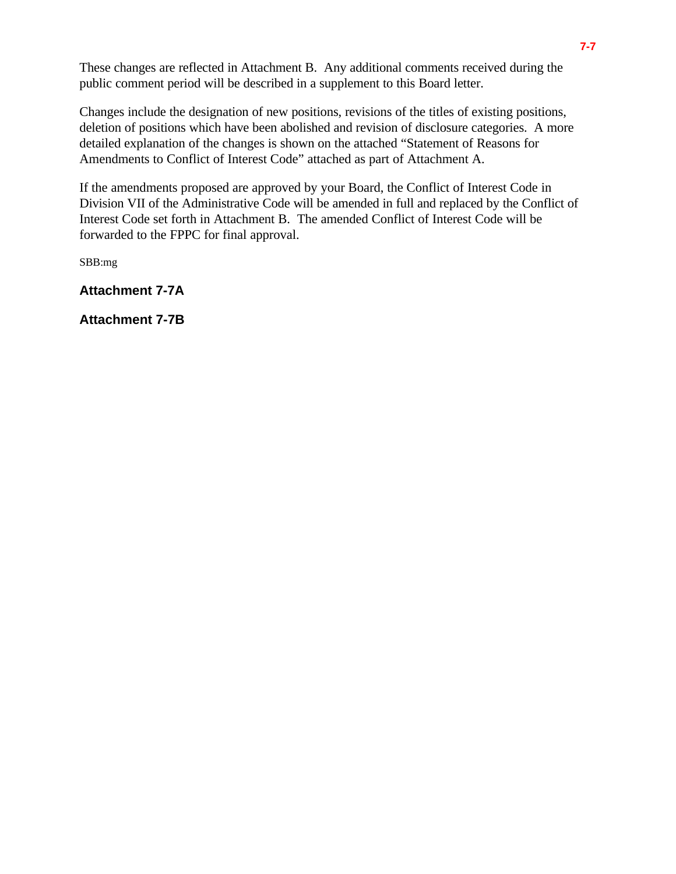These changes are reflected in Attachment B. Any additional comments received during the public comment period will be described in a supplement to this Board letter.

Changes include the designation of new positions, revisions of the titles of existing positions, deletion of positions which have been abolished and revision of disclosure categories. A more detailed explanation of the changes is shown on the attached "Statement of Reasons for Amendments to Conflict of Interest Code" attached as part of Attachment A.

If the amendments proposed are approved by your Board, the Conflict of Interest Code in Division VII of the Administrative Code will be amended in full and replaced by the Conflict of Interest Code set forth in Attachment B. The amended Conflict of Interest Code will be forwarded to the FPPC for final approval.

SBB:mg

**Attachment 7-7A**

**Attachment 7-7B**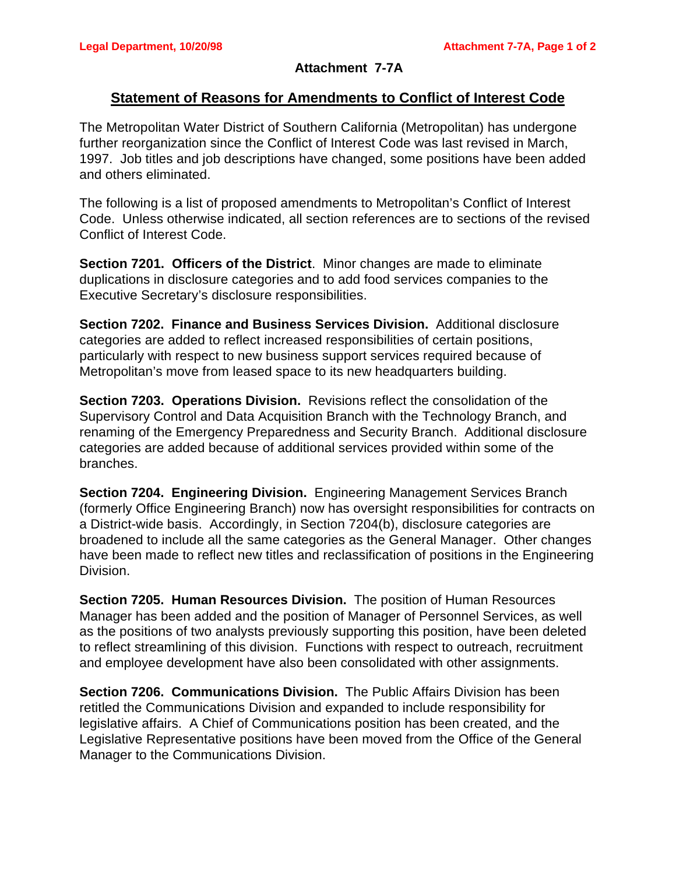# **Attachment 7-7A**

# **Statement of Reasons for Amendments to Conflict of Interest Code**

The Metropolitan Water District of Southern California (Metropolitan) has undergone further reorganization since the Conflict of Interest Code was last revised in March, 1997. Job titles and job descriptions have changed, some positions have been added and others eliminated.

The following is a list of proposed amendments to Metropolitan's Conflict of Interest Code. Unless otherwise indicated, all section references are to sections of the revised Conflict of Interest Code.

**Section 7201. Officers of the District**. Minor changes are made to eliminate duplications in disclosure categories and to add food services companies to the Executive Secretary's disclosure responsibilities.

**Section 7202. Finance and Business Services Division.** Additional disclosure categories are added to reflect increased responsibilities of certain positions, particularly with respect to new business support services required because of Metropolitan's move from leased space to its new headquarters building.

**Section 7203. Operations Division.** Revisions reflect the consolidation of the Supervisory Control and Data Acquisition Branch with the Technology Branch, and renaming of the Emergency Preparedness and Security Branch. Additional disclosure categories are added because of additional services provided within some of the branches.

**Section 7204. Engineering Division.** Engineering Management Services Branch (formerly Office Engineering Branch) now has oversight responsibilities for contracts on a District-wide basis. Accordingly, in Section 7204(b), disclosure categories are broadened to include all the same categories as the General Manager. Other changes have been made to reflect new titles and reclassification of positions in the Engineering Division.

**Section 7205. Human Resources Division.** The position of Human Resources Manager has been added and the position of Manager of Personnel Services, as well as the positions of two analysts previously supporting this position, have been deleted to reflect streamlining of this division. Functions with respect to outreach, recruitment and employee development have also been consolidated with other assignments.

**Section 7206. Communications Division.** The Public Affairs Division has been retitled the Communications Division and expanded to include responsibility for legislative affairs. A Chief of Communications position has been created, and the Legislative Representative positions have been moved from the Office of the General Manager to the Communications Division.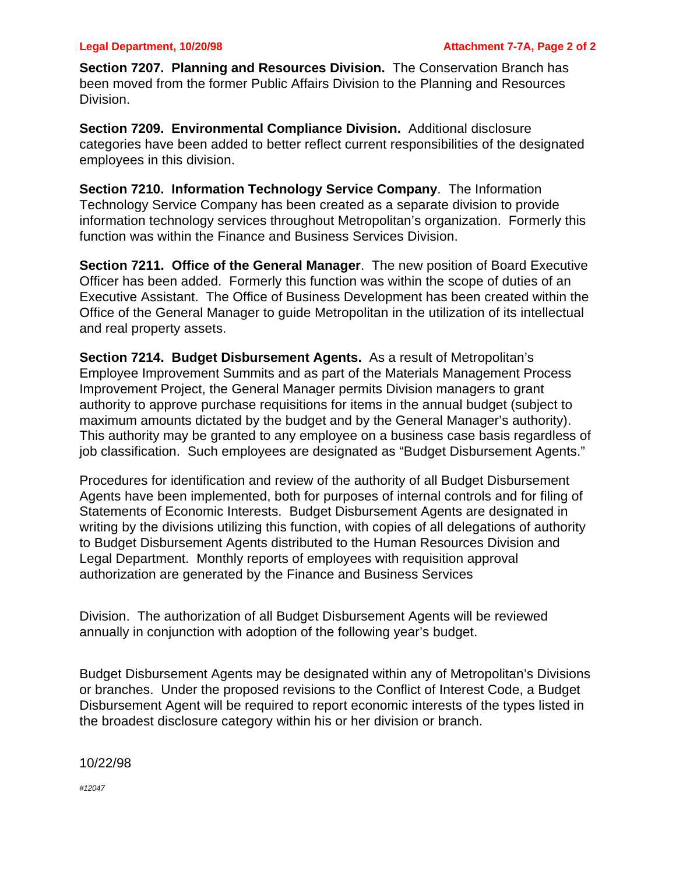**Section 7207. Planning and Resources Division.** The Conservation Branch has been moved from the former Public Affairs Division to the Planning and Resources Division.

**Section 7209. Environmental Compliance Division.** Additional disclosure categories have been added to better reflect current responsibilities of the designated employees in this division.

**Section 7210. Information Technology Service Company**. The Information Technology Service Company has been created as a separate division to provide information technology services throughout Metropolitan's organization. Formerly this function was within the Finance and Business Services Division.

**Section 7211. Office of the General Manager**. The new position of Board Executive Officer has been added. Formerly this function was within the scope of duties of an Executive Assistant. The Office of Business Development has been created within the Office of the General Manager to guide Metropolitan in the utilization of its intellectual and real property assets.

**Section 7214. Budget Disbursement Agents.** As a result of Metropolitan's Employee Improvement Summits and as part of the Materials Management Process Improvement Project, the General Manager permits Division managers to grant authority to approve purchase requisitions for items in the annual budget (subject to maximum amounts dictated by the budget and by the General Manager's authority). This authority may be granted to any employee on a business case basis regardless of job classification. Such employees are designated as "Budget Disbursement Agents."

Procedures for identification and review of the authority of all Budget Disbursement Agents have been implemented, both for purposes of internal controls and for filing of Statements of Economic Interests. Budget Disbursement Agents are designated in writing by the divisions utilizing this function, with copies of all delegations of authority to Budget Disbursement Agents distributed to the Human Resources Division and Legal Department. Monthly reports of employees with requisition approval authorization are generated by the Finance and Business Services

Division. The authorization of all Budget Disbursement Agents will be reviewed annually in conjunction with adoption of the following year's budget.

Budget Disbursement Agents may be designated within any of Metropolitan's Divisions or branches. Under the proposed revisions to the Conflict of Interest Code, a Budget Disbursement Agent will be required to report economic interests of the types listed in the broadest disclosure category within his or her division or branch.

10/22/98

*#12047*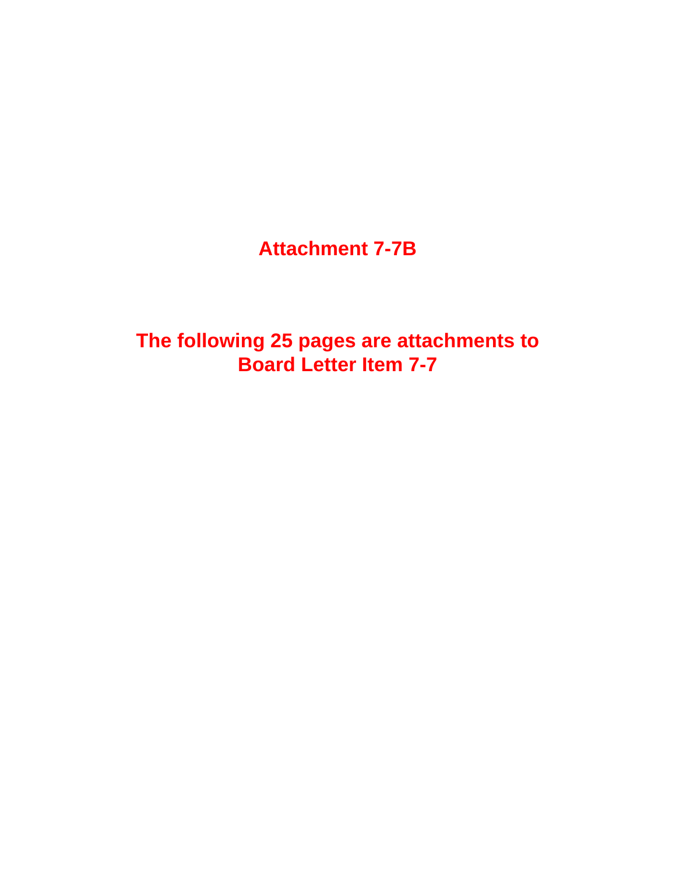**Attachment 7-7B**

**The following 25 pages are attachments to Board Letter Item 7-7**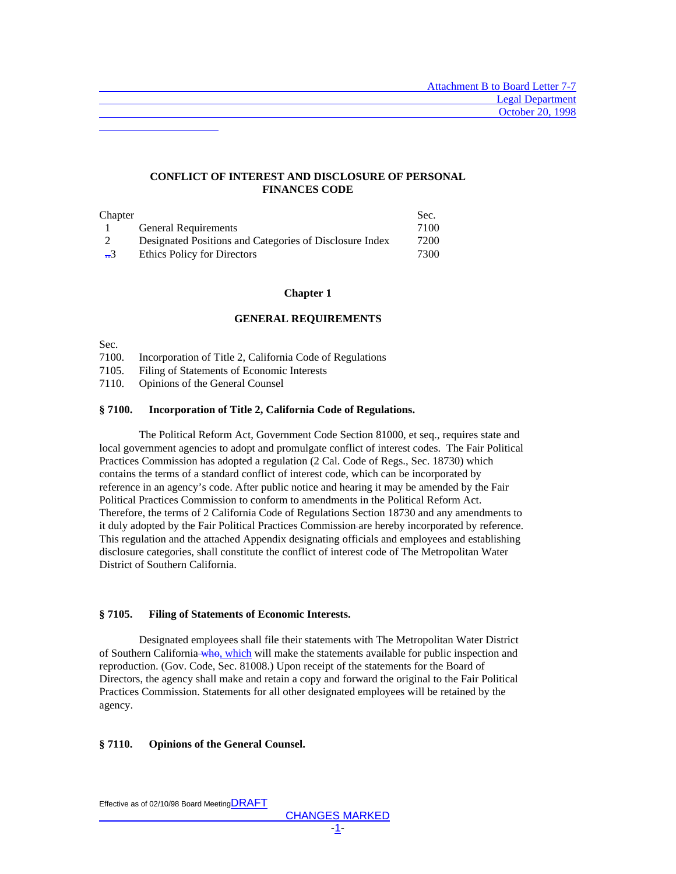### **CONFLICT OF INTEREST AND DISCLOSURE OF PERSONAL FINANCES CODE**

| Chapter         |                                                         | Sec. |
|-----------------|---------------------------------------------------------|------|
|                 | <b>General Requirements</b>                             | 7100 |
|                 | Designated Positions and Categories of Disclosure Index | 7200 |
| $\overline{53}$ | Ethics Policy for Directors                             | 7300 |

#### **Chapter 1**

### **GENERAL REQUIREMENTS**

Sec.

L

7100. Incorporation of Title 2, California Code of Regulations

7105. Filing of Statements of Economic Interests

7110. Opinions of the General Counsel

#### **§ 7100. Incorporation of Title 2, California Code of Regulations.**

The Political Reform Act, Government Code Section 81000, et seq., requires state and local government agencies to adopt and promulgate conflict of interest codes. The Fair Political Practices Commission has adopted a regulation (2 Cal. Code of Regs., Sec. 18730) which contains the terms of a standard conflict of interest code, which can be incorporated by reference in an agency's code. After public notice and hearing it may be amended by the Fair Political Practices Commission to conform to amendments in the Political Reform Act. Therefore, the terms of 2 California Code of Regulations Section 18730 and any amendments to it duly adopted by the Fair Political Practices Commission are hereby incorporated by reference. This regulation and the attached Appendix designating officials and employees and establishing disclosure categories, shall constitute the conflict of interest code of The Metropolitan Water District of Southern California.

#### **§ 7105. Filing of Statements of Economic Interests.**

Designated employees shall file their statements with The Metropolitan Water District of Southern California who, which will make the statements available for public inspection and reproduction. (Gov. Code, Sec. 81008.) Upon receipt of the statements for the Board of Directors, the agency shall make and retain a copy and forward the original to the Fair Political Practices Commission. Statements for all other designated employees will be retained by the agency.

#### **§ 7110. Opinions of the General Counsel.**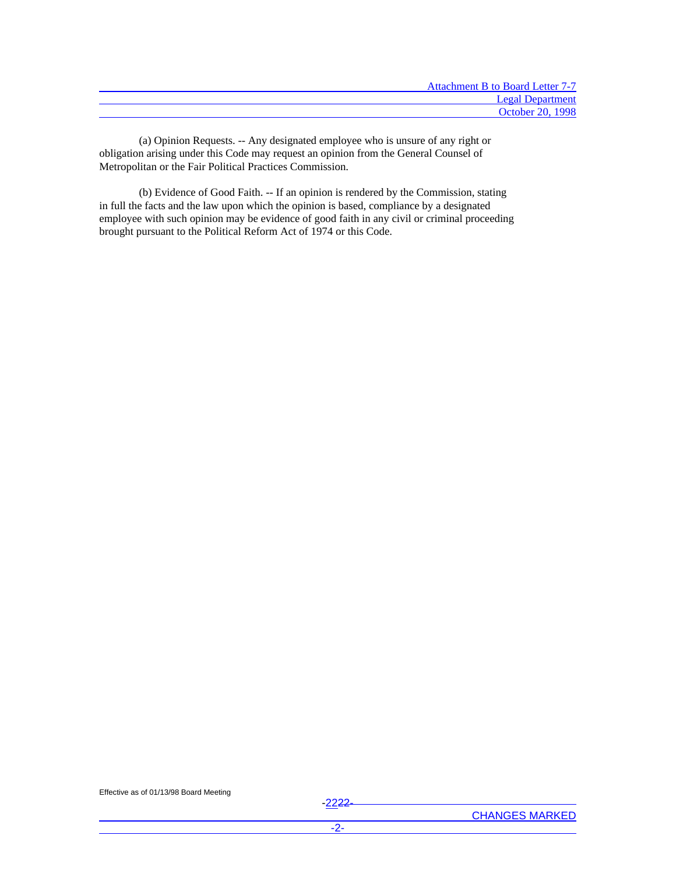| <b>Attachment B to Board Letter 7-7</b> |
|-----------------------------------------|
| <b>Legal Department</b>                 |
| <b>October 20, 1998</b>                 |

(a) Opinion Requests. -- Any designated employee who is unsure of any right or obligation arising under this Code may request an opinion from the General Counsel of Metropolitan or the Fair Political Practices Commission.

(b) Evidence of Good Faith. -- If an opinion is rendered by the Commission, stating in full the facts and the law upon which the opinion is based, compliance by a designated employee with such opinion may be evidence of good faith in any civil or criminal proceeding brought pursuant to the Political Reform Act of 1974 or this Code.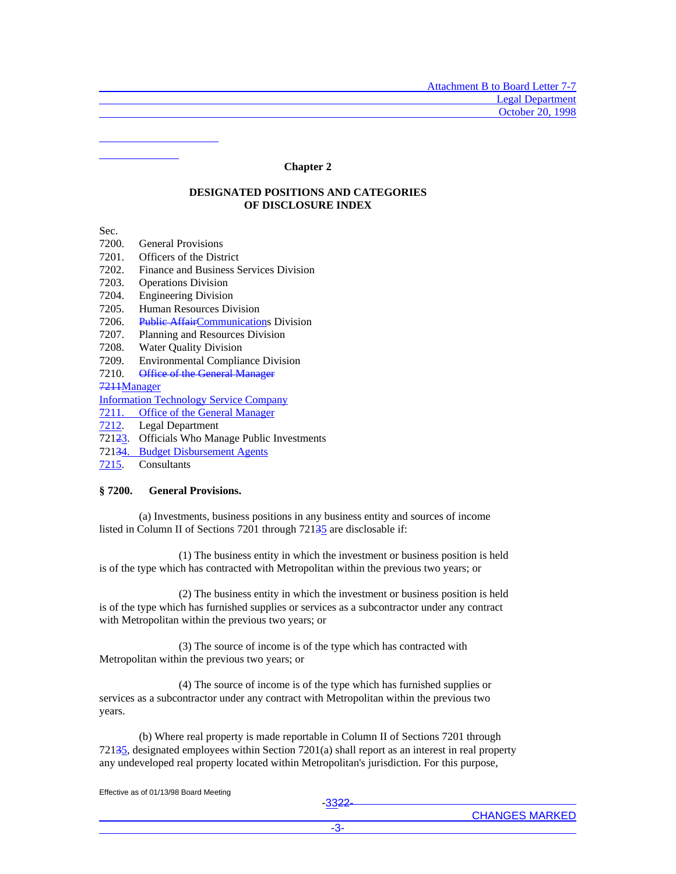#### **Chapter 2**

#### **DESIGNATED POSITIONS AND CATEGORIES OF DISCLOSURE INDEX**

Sec.

 $\overline{a}$ L

- 7200. General Provisions
- 7201. Officers of the District
- 7202. Finance and Business Services Division
- 7203. Operations Division
- 7204. Engineering Division
- 7205. Human Resources Division
- 7206. Public AffairCommunications Division
- 7207. Planning and Resources Division
- 7208. Water Quality Division
- 7209. Environmental Compliance Division
- 7210. Office of the General Manager

7211Manager

Information Technology Service Company

7211. Office of the General Manager

- 7212. Legal Department
- 72123. Officials Who Manage Public Investments
- 72134. Budget Disbursement Agents
- 7215. Consultants

#### **§ 7200. General Provisions.**

(a) Investments, business positions in any business entity and sources of income listed in Column II of Sections 7201 through 72135 are disclosable if:

(1) The business entity in which the investment or business position is held is of the type which has contracted with Metropolitan within the previous two years; or

(2) The business entity in which the investment or business position is held is of the type which has furnished supplies or services as a subcontractor under any contract with Metropolitan within the previous two years; or

(3) The source of income is of the type which has contracted with Metropolitan within the previous two years; or

(4) The source of income is of the type which has furnished supplies or services as a subcontractor under any contract with Metropolitan within the previous two years.

(b) Where real property is made reportable in Column II of Sections 7201 through 72135, designated employees within Section 7201(a) shall report as an interest in real property any undeveloped real property located within Metropolitan's jurisdiction. For this purpose,

Effective as of 01/13/98 Board Meeting

-3322-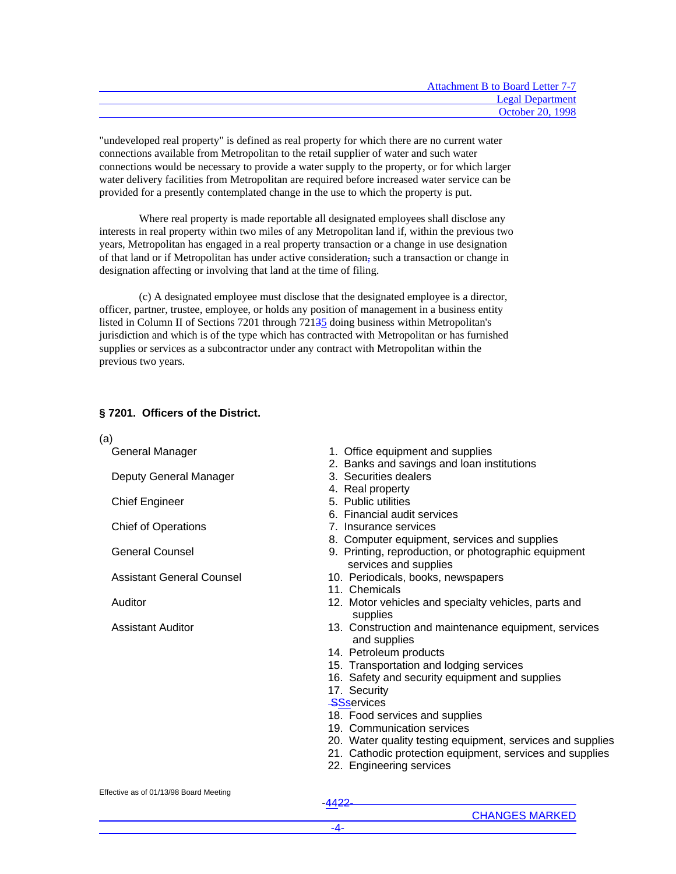| <b>Attachment B to Board Letter 7-7</b> |
|-----------------------------------------|
| <b>Legal Department</b>                 |
| <b>October 20, 1998</b>                 |

"undeveloped real property" is defined as real property for which there are no current water connections available from Metropolitan to the retail supplier of water and such water connections would be necessary to provide a water supply to the property, or for which larger water delivery facilities from Metropolitan are required before increased water service can be provided for a presently contemplated change in the use to which the property is put.

Where real property is made reportable all designated employees shall disclose any interests in real property within two miles of any Metropolitan land if, within the previous two years, Metropolitan has engaged in a real property transaction or a change in use designation of that land or if Metropolitan has under active consideration, such a transaction or change in designation affecting or involving that land at the time of filing.

(c) A designated employee must disclose that the designated employee is a director, officer, partner, trustee, employee, or holds any position of management in a business entity listed in Column II of Sections 7201 through 72135 doing business within Metropolitan's jurisdiction and which is of the type which has contracted with Metropolitan or has furnished supplies or services as a subcontractor under any contract with Metropolitan within the previous two years.

# **§ 7201. Officers of the District.**

(a)

General Manager

Deputy General Manager

Chief Engineer

Chief of Operations

General Counsel

Assistant General Counsel

Auditor

Assistant Auditor

- 1. Office equipment and supplies
- 2. Banks and savings and loan institutions
- 3. Securities dealers
- 4. Real property
- 5. Public utilities
- 6. Financial audit services
- 7. Insurance services
- 8. Computer equipment, services and supplies
- 9. Printing, reproduction, or photographic equipment services and supplies
- 10. Periodicals, books, newspapers
- 11. Chemicals
- 12. Motor vehicles and specialty vehicles, parts and supplies
- 13. Construction and maintenance equipment, services and supplies
- 14. Petroleum products
- 15. Transportation and lodging services
- 16. Safety and security equipment and supplies
- 17. Security
- **SSservices**
- 18. Food services and supplies
- 19. Communication services
- 20. Water quality testing equipment, services and supplies
- 21. Cathodic protection equipment, services and supplies
- 22. Engineering services

Effective as of 01/13/98 Board Meeting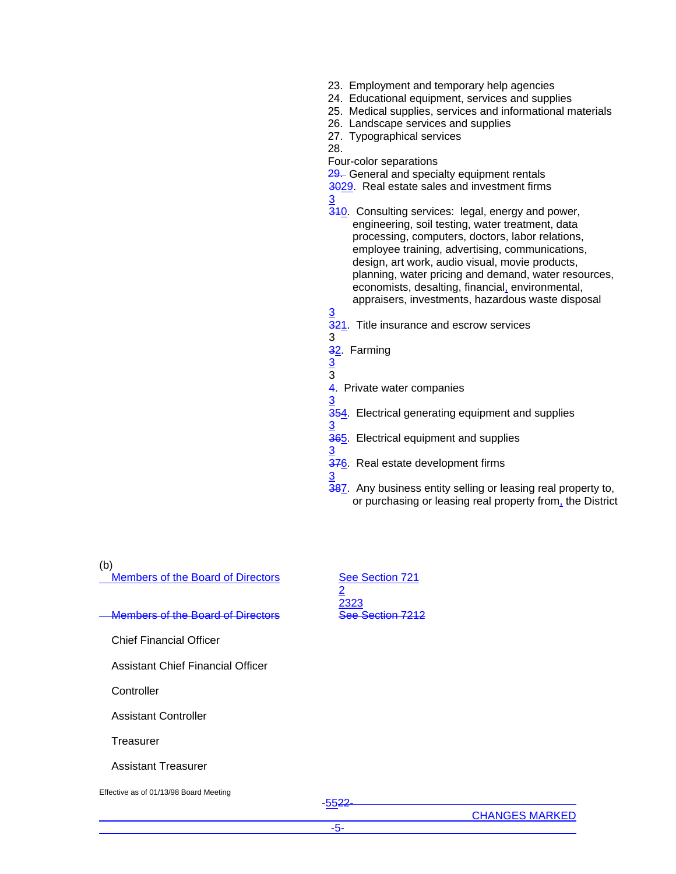- 23. Employment and temporary help agencies
- 24. Educational equipment, services and supplies
- 25. Medical supplies, services and informational materials
- 26. Landscape services and supplies
- 27. Typographical services
- 28.

Four-color separations

29. General and specialty equipment rentals

- 3029. Real estate sales and investment firms
- 3 310. Consulting services: legal, energy and power, engineering, soil testing, water treatment, data processing, computers, doctors, labor relations, employee training, advertising, communications, design, art work, audio visual, movie products, planning, water pricing and demand, water resources, economists, desalting, financial, environmental, appraisers, investments, hazardous waste disposal
- 321. Title insurance and escrow services 3
- 32. Farming
- 3 3

3

3

3

3

- 4. Private water companies
- 354. Electrical generating equipment and supplies
- **365.** Electrical equipment and supplies
- 3 376. Real estate development firms
- 387. Any business entity selling or leasing real property to, or purchasing or leasing real property from, the District

(b)

Members of the Board of Directors See Section 721

#### Members of the Board of Directors See Section 7212

Chief Financial Officer

Assistant Chief Financial Officer

**Controller** 

Assistant Controller

**Treasurer** 

Assistant Treasurer

Effective as of 01/13/98 Board Meeting

2 2323

-5522-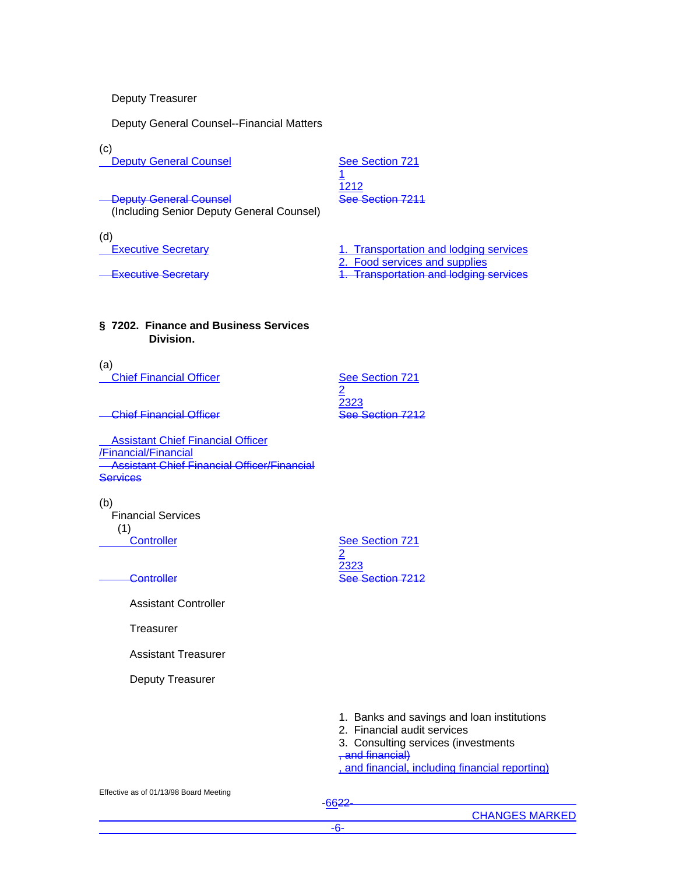Deputy Treasurer

Deputy General Counsel--Financial Matters

(c)

**Deputy General Counsel Counsel See Section 721** 

1 1212

**Deputy General Counsel See Section 7211** (Including Senior Deputy General Counsel)

(d)<br><u>Fxecutive Secretary</u>

1. Transportation and lodging services

2. Food services and supplies

**Executive Secretary** 2. **Transportation and lodging services** 

# **§ 7202. Finance and Business Services Division.**

(a) **Chief Financial Officer** See Section 721

2 2323

**Chief Financial Officer Chief See Section 7212** 

 Assistant Chief Financial Officer /Financial/Financial **Assistant Chief Financial Officer/Financial Services** 

(b) Financial Services (1)<br>Controller

2 2323 **Controller See Section 7212** 

See Section 721

Assistant Controller

**Treasurer** 

Assistant Treasurer

Deputy Treasurer

1. Banks and savings and loan institutions

- 2. Financial audit services
- 3. Consulting services (investments , and financial)

, and financial, including financial reporting)

Effective as of 01/13/98 Board Meeting

-6622-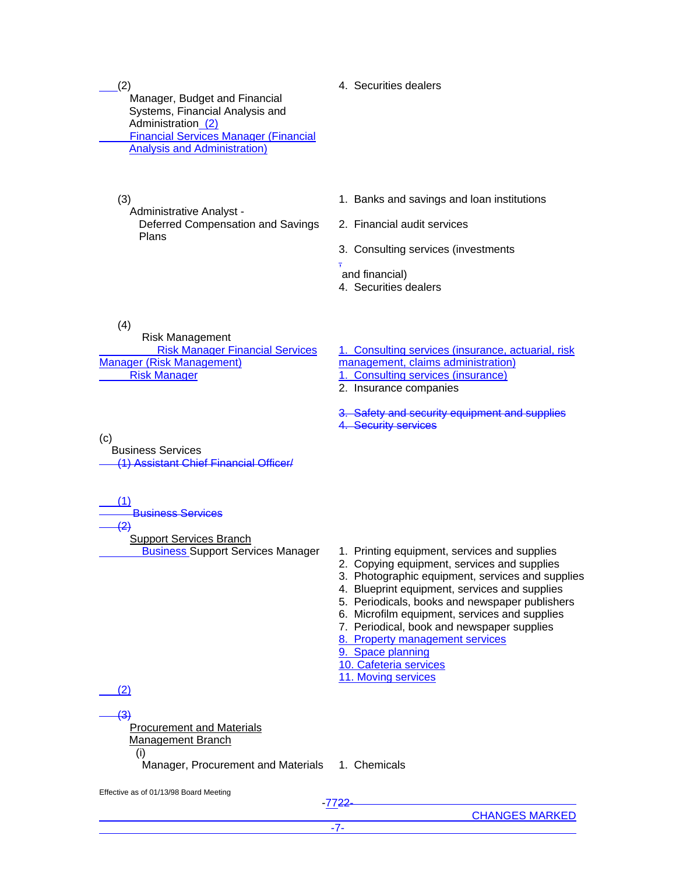$(2)$ 

 Manager, Budget and Financial Systems, Financial Analysis and Administration (2) Financial Services Manager (Financial Analysis and Administration)

(3)

Administrative Analyst -

 Deferred Compensation and Savings Plans

- 1. Banks and savings and loan institutions
- 2. Financial audit services
- 3. Consulting services (investments

#### , and financial)

4. Securities dealers

4. Securities dealers

(4)

 Risk Management Risk Manager Financial Services Manager (Risk Management) Risk Manager 1. Consulting services (insurance)

1. Consulting services (insurance, actuarial, risk

management, claims administration)

2. Insurance companies

Safety and security equipment and supplies 4. Security services

(c) Business Services (1) Assistant Chief Financial Officer/

 (1) Business Services  $\overline{2}$ 

Support Services Branch

- **Business Support Services Manager 1. Printing equipment, services and supplies** 
	- 2. Copying equipment, services and supplies
	- 3. Photographic equipment, services and supplies
	- 4. Blueprint equipment, services and supplies
	- 5. Periodicals, books and newspaper publishers
	- 6. Microfilm equipment, services and supplies
	- 7. Periodical, book and newspaper supplies
	- 8. Property management services
	- 9. Space planning
	- 10. Cafeteria services
	- 11. Moving services

(2)

 (3) Procurement and Materials Management Branch (i)

Manager, Procurement and Materials 1. Chemicals

Effective as of 01/13/98 Board Meeting

-7722-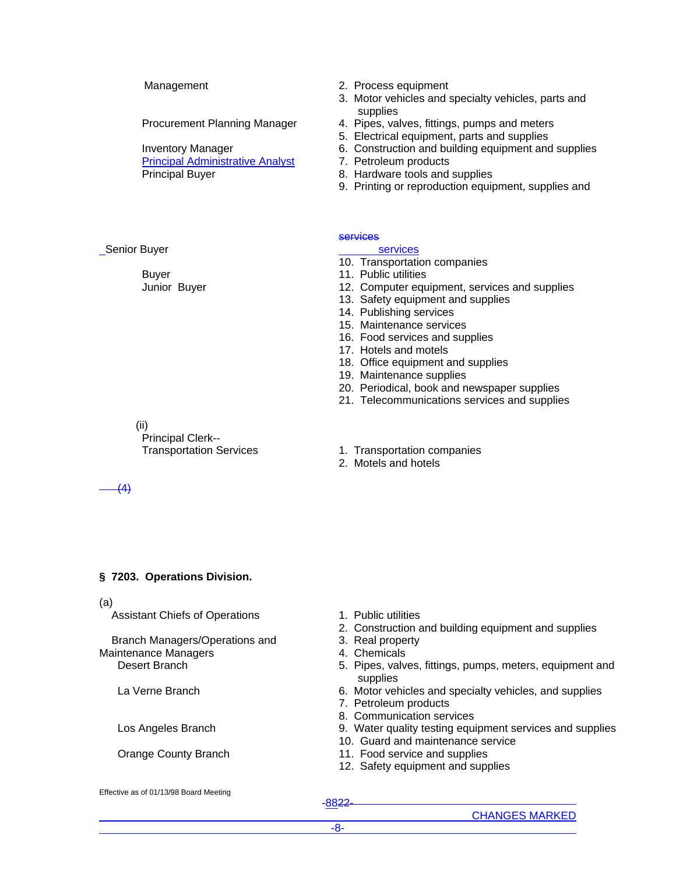Procurement Planning Manager

Inventory Manager

Principal Administrative Analyst 7. Petroleum products Principal Buyer 8. Hardware tools and supplies

- Management 2. Process equipment
	- 3. Motor vehicles and specialty vehicles, parts and supplies
	- 4. Pipes, valves, fittings, pumps and meters
	- 5. Electrical equipment, parts and supplies
	- 6. Construction and building equipment and supplies
	-
	-
	- 9. Printing or reproduction equipment, supplies and

#### **services**

#### services

- 10. Transportation companies
- 11. Public utilities
- 12. Computer equipment, services and supplies
- 13. Safety equipment and supplies
- 14. Publishing services
- 15. Maintenance services
- 16. Food services and supplies
- 17. Hotels and motels

2. Motels and hotels

- 18. Office equipment and supplies
- 19. Maintenance supplies
- 20. Periodical, book and newspaper supplies
- 21. Telecommunications services and supplies
- (ii) Principal Clerk-- Transportation Services 1. Transportation companies

(4)

Senior Buyer

Buyer

Junior Buyer

# **§ 7203. Operations Division.**

#### (a)

Assistant Chiefs of Operations 1. Public utilities

 Branch Managers/Operations and Maintenance Managers

- 
- 2. Construction and building equipment and supplies
- 3. Real property
- 4. Chemicals
- Desert Branch 6. Pipes, valves, fittings, pumps, meters, equipment and supplies
- La Verne Branch 6. Motor vehicles and specialty vehicles, and supplies
	- 7. Petroleum products
	- 8. Communication services
- Los Angeles Branch 19. Water quality testing equipment services and supplies
	- 10. Guard and maintenance service
- Orange County Branch 11. Food service and supplies
	- 12. Safety equipment and supplies

Effective as of 01/13/98 Board Meeting

-8822-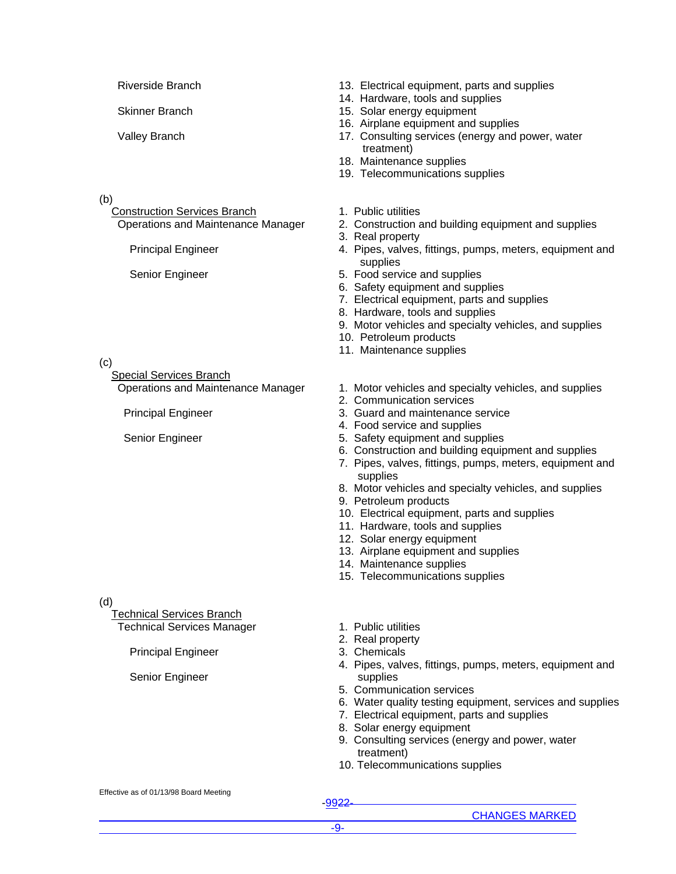- 
- 

(b)

Construction Services Branch 1. Public utilities

(c)

Special Services Branch

(d)

 Technical Services Branch Technical Services Manager

Principal Engineer

Senior Engineer

- Riverside Branch 13. Electrical equipment, parts and supplies
	- 14. Hardware, tools and supplies
- Skinner Branch 15. Solar energy equipment
	- 16. Airplane equipment and supplies
- Valley Branch 17. Consulting services (energy and power, water treatment)
	- 18. Maintenance supplies
	- 19. Telecommunications supplies
	-
- Operations and Maintenance Manager 2. Construction and building equipment and supplies
	- 3. Real property
	- Principal Engineer 1992 and Termina A. Pipes, valves, fittings, pumps, meters, equipment and supplies
	- Senior Engineer 6. Food service and supplies
		- 6. Safety equipment and supplies
		- 7. Electrical equipment, parts and supplies
		- 8. Hardware, tools and supplies
		- 9. Motor vehicles and specialty vehicles, and supplies
		- 10. Petroleum products
		- 11. Maintenance supplies
- Operations and Maintenance Manager 1. Motor vehicles and specialty vehicles, and supplies
	- 2. Communication services
- Principal Engineer 3. Guard and maintenance service
	- 4. Food service and supplies
- Senior Engineer 6. Safety equipment and supplies
	- 6. Construction and building equipment and supplies
	- 7. Pipes, valves, fittings, pumps, meters, equipment and supplies
	- 8. Motor vehicles and specialty vehicles, and supplies
	- 9. Petroleum products
	- 10. Electrical equipment, parts and supplies
	- 11. Hardware, tools and supplies
	- 12. Solar energy equipment
	- 13. Airplane equipment and supplies
	- 14. Maintenance supplies
	- 15. Telecommunications supplies
	- 1. Public utilities
	- 2. Real property
	- 3. Chemicals
	- 4. Pipes, valves, fittings, pumps, meters, equipment and supplies
	- 5. Communication services
	- 6. Water quality testing equipment, services and supplies
	- 7. Electrical equipment, parts and supplies
	- 8. Solar energy equipment
	- 9. Consulting services (energy and power, water treatment)
	- 10. Telecommunications supplies

#### Effective as of 01/13/98 Board Meeting

-9922-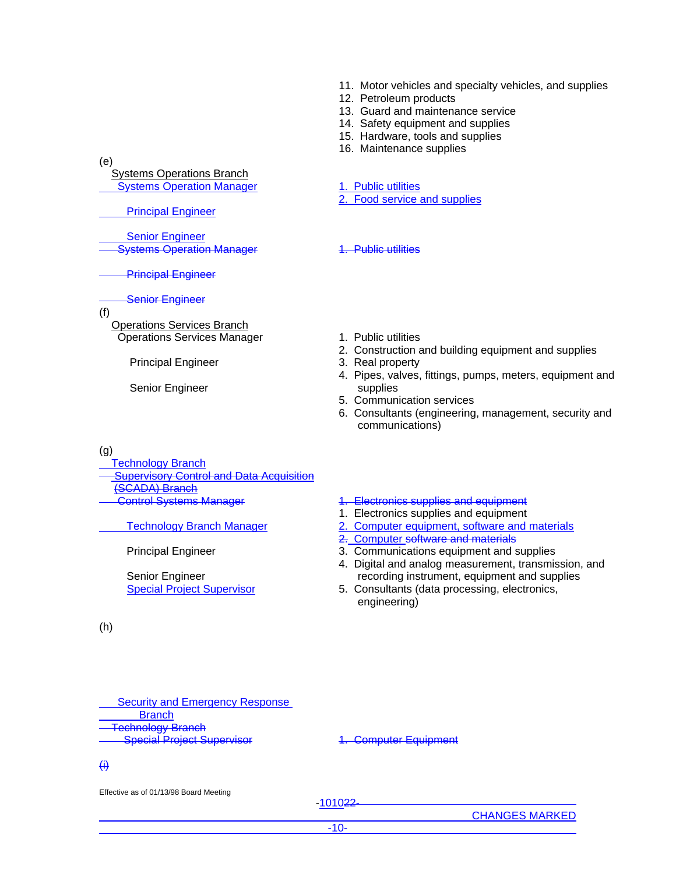- 11. Motor vehicles and specialty vehicles, and supplies
- 12. Petroleum products
- 13. Guard and maintenance service
- 14. Safety equipment and supplies
- 15. Hardware, tools and supplies
- 16. Maintenance supplies

2. Food service and supplies

1. Public utilities

. Public utilities

supplies

5. Communication services

communications)

(e)

 Systems Operations Branch Systems Operation Manager

Principal Engineer

 Senior Engineer Systems Operation Manager

Principal Engineer

### Senior Engineer

(f)

 Operations Services Branch Operations Services Manager 1. Public utilities

Principal Engineer 3. Real property

Senior Engineer

# (g)

Technology Branch

**Supervisory Control and Data Acquisition** (SCADA) Branch

Principal Engineer

Senior Engineer

(h)

Control Systems Manager 1. Electronics supplies and equipment

- 1. Electronics supplies and equipment
- Technology Branch Manager 2. Computer equipment, software and materials

2. Construction and building equipment and supplies

4. Pipes, valves, fittings, pumps, meters, equipment and

6. Consultants (engineering, management, security and

- 2. Computer software and materials
- 3. Communications equipment and supplies
- 4. Digital and analog measurement, transmission, and recording instrument, equipment and supplies
- Special Project Supervisor 5. Consultants (data processing, electronics, engineering)

 Security and Emergency Response **Branch**  Technology Branch Special Project Supervisor **1. Computer Equipment** 

# (i)

Effective as of 01/13/98 Board Meeting

-101022-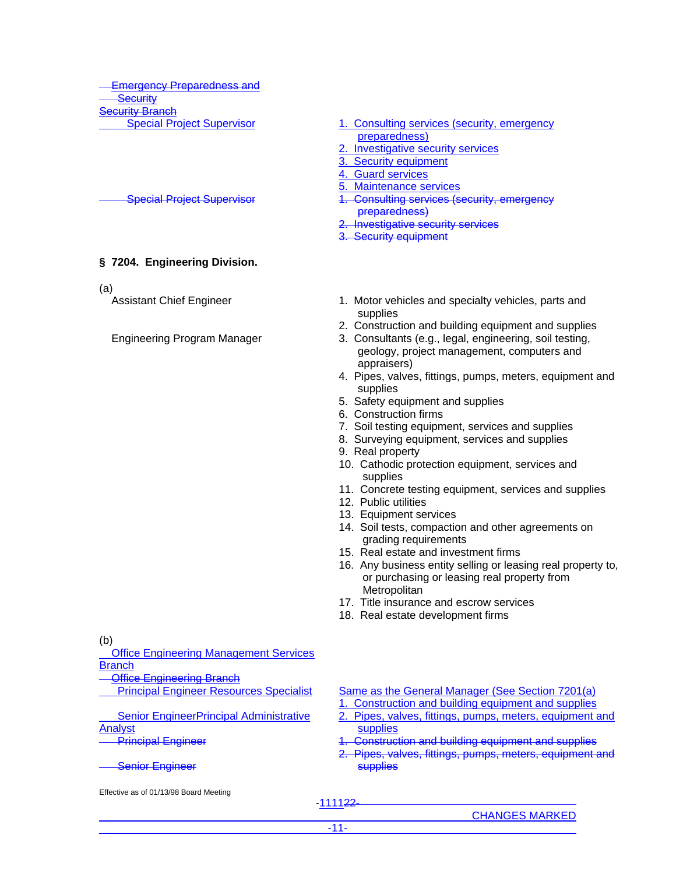Emergency Preparedness and **Security Seurity Branch** 

# **§ 7204. Engineering Division.**

(a)

- Special Project Supervisor **1. Consulting services (security, emergency** preparedness)
	- Investigative security services
	- 3. Security equipment
	- 4. Guard services
	- 5. Maintenance services
- Special Project Supervisor **1. Consulting services (security, emergency** preparedness)
	- Investigative security services
	- 3. Security equipment
- Assistant Chief Engineer 1. Motor vehicles and specialty vehicles, parts and supplies
	- 2. Construction and building equipment and supplies
- Engineering Program Manager 3. Consultants (e.g., legal, engineering, soil testing, geology, project management, computers and appraisers)
	- 4. Pipes, valves, fittings, pumps, meters, equipment and supplies
	- 5. Safety equipment and supplies
	- 6. Construction firms
	- 7. Soil testing equipment, services and supplies
	- 8. Surveying equipment, services and supplies
	- 9. Real property
	- 10. Cathodic protection equipment, services and supplies
	- 11. Concrete testing equipment, services and supplies
	- 12. Public utilities
	- 13. Equipment services
	- 14. Soil tests, compaction and other agreements on grading requirements
	- 15. Real estate and investment firms
	- 16. Any business entity selling or leasing real property to, or purchasing or leasing real property from **Metropolitan**
	- 17. Title insurance and escrow services
	- 18. Real estate development firms

(b)

 Office Engineering Management Services **Branch** 

- **Office Engineering Branch**
- Principal Engineer Resources Specialist

 Senior EngineerPrincipal Administrative Analyst Principal Engineer

Senior Engineer

Effective as of 01/13/98 Board Meeting

Same as the General Manager (See Section 7201(a) 1. Construction and building equipment and supplies

- 2. Pipes, valves, fittings, pumps, meters, equipment and supplies
	- **Construction and building equipment and supplies**
- 2. Pipes, valves, fittings, pumps, meters, equipment and **supplies**

-111122-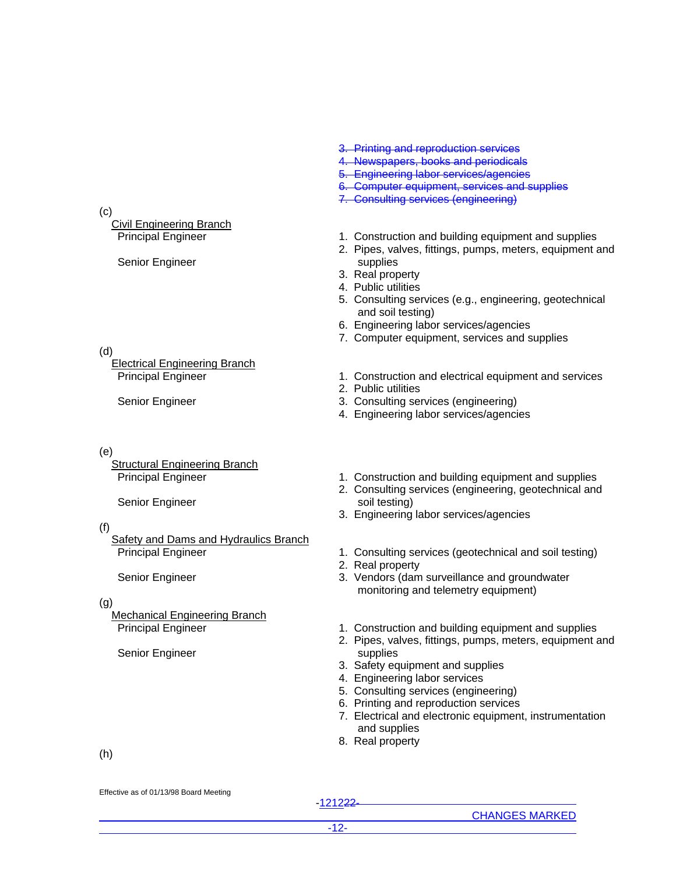(c)

# Civil Engineering Branch

Senior Engineer

(d)

Electrical Engineering Branch

# (e)

**Structural Engineering Branch** 

Senior Engineer

# (f)

**Safety and Dams and Hydraulics Branch** Principal Engineer

Senior Engineer

# (g)

Mechanical Engineering Branch

Senior Engineer

- 3. Printing and reproduction services
- 4. Newspapers, books and periodicals
- 5. Engineering labor services/agencies
- 6. Computer equipment, services and supplies
- 7. Consulting services (engineering)
- Principal Engineer 1. Construction and building equipment and supplies
	- 2. Pipes, valves, fittings, pumps, meters, equipment and supplies
	- 3. Real property
	- 4. Public utilities
	- 5. Consulting services (e.g., engineering, geotechnical and soil testing)
	- 6. Engineering labor services/agencies
	- 7. Computer equipment, services and supplies
- Principal Engineer 1. Construction and electrical equipment and services
	- 2. Public utilities
- Senior Engineer 3. Consulting services (engineering)
	- 4. Engineering labor services/agencies
- Principal Engineer 1. Construction and building equipment and supplies
	- 2. Consulting services (engineering, geotechnical and soil testing)
	- 3. Engineering labor services/agencies
	- 1. Consulting services (geotechnical and soil testing)
	- 2. Real property
	- 3. Vendors (dam surveillance and groundwater monitoring and telemetry equipment)
- Principal Engineer 1. Construction and building equipment and supplies
	- 2. Pipes, valves, fittings, pumps, meters, equipment and supplies
	- 3. Safety equipment and supplies
	- 4. Engineering labor services
	- 5. Consulting services (engineering)
	- 6. Printing and reproduction services
	- 7. Electrical and electronic equipment, instrumentation and supplies
	- 8. Real property

(h)

Effective as of 01/13/98 Board Meeting

-121222-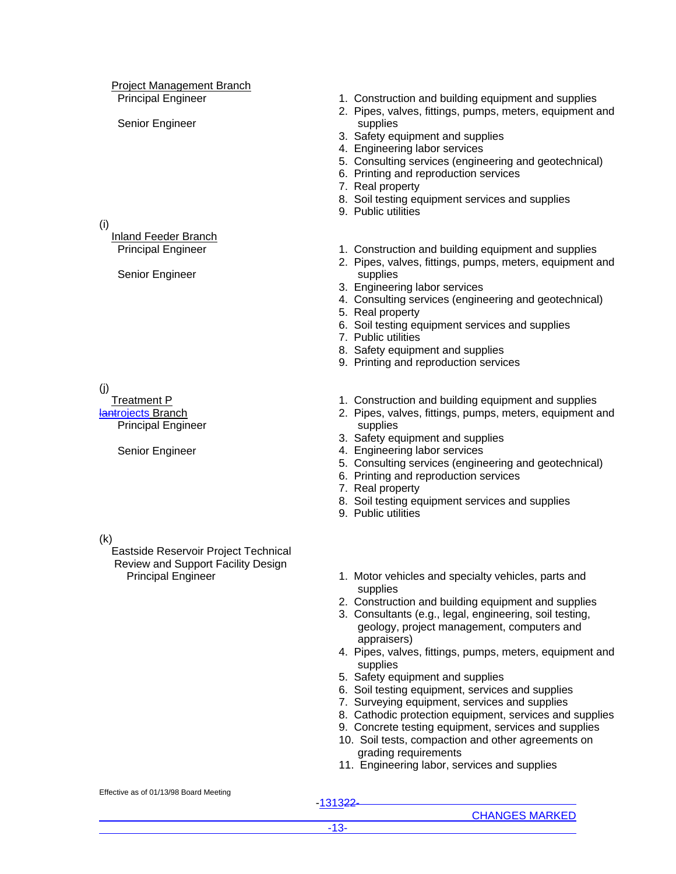# Project Management Branch

Senior Engineer

### (i)

Inland Feeder Branch

Senior Engineer

(j)

 Treatment P lantrojects Branch Principal Engineer

Senior Engineer

(k)

 Eastside Reservoir Project Technical Review and Support Facility Design

- Principal Engineer 1. Construction and building equipment and supplies
	- 2. Pipes, valves, fittings, pumps, meters, equipment and supplies
	- 3. Safety equipment and supplies
	- 4. Engineering labor services
	- 5. Consulting services (engineering and geotechnical)
	- 6. Printing and reproduction services
	- 7. Real property
	- 8. Soil testing equipment services and supplies
	- 9. Public utilities
- Principal Engineer 1. Construction and building equipment and supplies
	- 2. Pipes, valves, fittings, pumps, meters, equipment and supplies
	- 3. Engineering labor services
	- 4. Consulting services (engineering and geotechnical)
	- 5. Real property
	- 6. Soil testing equipment services and supplies
	- 7. Public utilities
	- 8. Safety equipment and supplies
	- 9. Printing and reproduction services
	- 1. Construction and building equipment and supplies
	- 2. Pipes, valves, fittings, pumps, meters, equipment and supplies
	- 3. Safety equipment and supplies
	- 4. Engineering labor services
	- 5. Consulting services (engineering and geotechnical)
	- 6. Printing and reproduction services
	- 7. Real property
	- 8. Soil testing equipment services and supplies
	- 9. Public utilities
	- Principal Engineer 1. Motor vehicles and specialty vehicles, parts and supplies
		- 2. Construction and building equipment and supplies
		- 3. Consultants (e.g., legal, engineering, soil testing, geology, project management, computers and appraisers)
		- 4. Pipes, valves, fittings, pumps, meters, equipment and supplies
		- 5. Safety equipment and supplies
		- 6. Soil testing equipment, services and supplies
		- 7. Surveying equipment, services and supplies
		- 8. Cathodic protection equipment, services and supplies
		- 9. Concrete testing equipment, services and supplies
		- 10. Soil tests, compaction and other agreements on grading requirements
		- 11. Engineering labor, services and supplies

Effective as of 01/13/98 Board Meeting

-131322-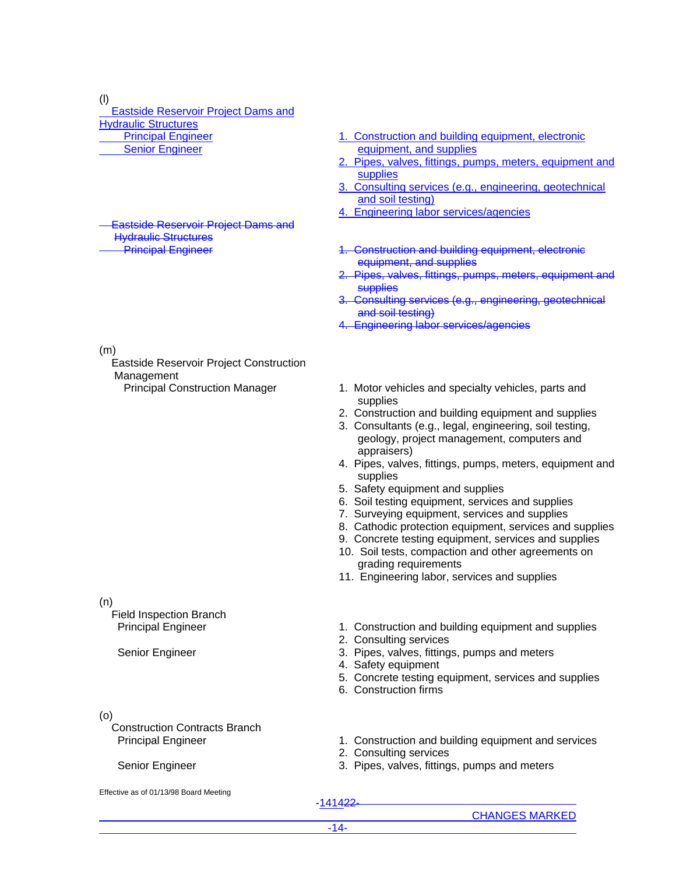(l)

 Eastside Reservoir Project Dams and Hydraulic Structures Principal Engineer Senior Engineer

 Eastside Reservoir Project Dams and Hydraulic Structures<br>Principal Engineer

(m)

 Eastside Reservoir Project Construction Management

(n)

 Field Inspection Branch Principal Engineer

Senior Engineer

(o)

 Construction Contracts Branch Principal Engineer

# Senior Engineer

- 1. Construction and building equipment, electronic equipment, and supplies
- 2. Pipes, valves, fittings, pumps, meters, equipment and supplies
- 3. Consulting services (e.g., engineering, geotechnical and soil testing)
- 4. Engineering labor services/agencies
- 1. Construction and building equipment, electronic equipment, and supplies
- Pipes, valves, fittings, pumps, meters, equipment and supplies
- Consulting services (e.g., engineering, geotechnical and soil testing)
- 4. Engineering labor services/agencies
- Principal Construction Manager 1. Motor vehicles and specialty vehicles, parts and supplies
	- 2. Construction and building equipment and supplies
	- 3. Consultants (e.g., legal, engineering, soil testing, geology, project management, computers and appraisers)
	- 4. Pipes, valves, fittings, pumps, meters, equipment and supplies
	- 5. Safety equipment and supplies
	- 6. Soil testing equipment, services and supplies
	- 7. Surveying equipment, services and supplies
	- 8. Cathodic protection equipment, services and supplies
	- 9. Concrete testing equipment, services and supplies
	- 10. Soil tests, compaction and other agreements on grading requirements
	- 11. Engineering labor, services and supplies
	- 1. Construction and building equipment and supplies
	- 2. Consulting services
	- 3. Pipes, valves, fittings, pumps and meters
	- 4. Safety equipment
	- 5. Concrete testing equipment, services and supplies
	- 6. Construction firms
	- 1. Construction and building equipment and services
	- 2. Consulting services
	- 3. Pipes, valves, fittings, pumps and meters

- Effective as of 01/13/98 Board Meeting
- -141422-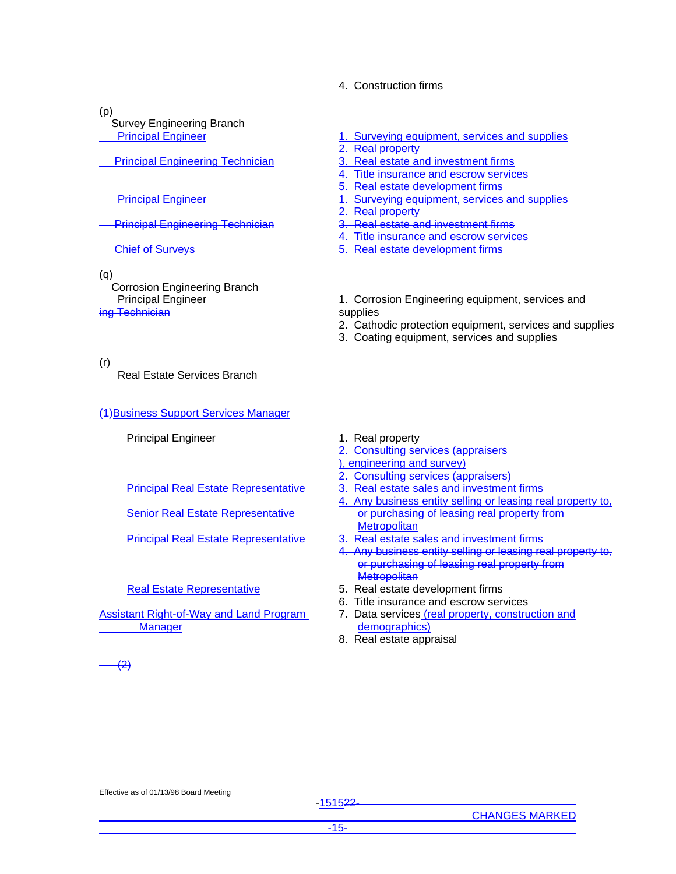# 4. Construction firms

(p)

 Survey Engineering Branch Principal Engineer

Principal Engineering Technician

Principal Engineer

Principal Engineering Technician

- Chief of Surveys
- (q)

 Corrosion Engineering Branch Principal Engineer ing Technician

(r)

Real Estate Services Branch

(1)Business Support Services Manager

Principal Engineer 1. Real property

Principal Real Estate Representative

Senior Real Estate Representative

# Real Estate Representative

Assistant Right-of-Way and Land Program **Manager** 

- 1. Surveying equipment, services and supplies
- 2. Real property
- 3. Real estate and investment firms
- 4. Title insurance and escrow services
- 5. Real estate development firms
- Surveying equipment, services and supplies
- 2. Real property
- 3. Real estate and investment firms
- 4. Title insurance and escrow services
- 5. Real estate development firms
- 1. Corrosion Engineering equipment, services and supplies
- 2. Cathodic protection equipment, services and supplies
- 3. Coating equipment, services and supplies

- 
- 2. Consulting services (appraisers ), engineering and survey)
- 
- 2. Consulting services (appraisers) 3. Real estate sales and investment firms
- 4. Any business entity selling or leasing real property to, or purchasing of leasing real property from **Metropolitan**
- Principal Real Estate Representative 3. Real estate sales and investment firms
	- 4. Any business entity selling or leasing real property to, or purchasing of leasing real property from **Metropolitan**
	- 5. Real estate development firms
	- 6. Title insurance and escrow services
	- 7. Data services (real property, construction and demographics)
	- 8. Real estate appraisal

(2)

Effective as of 01/13/98 Board Meeting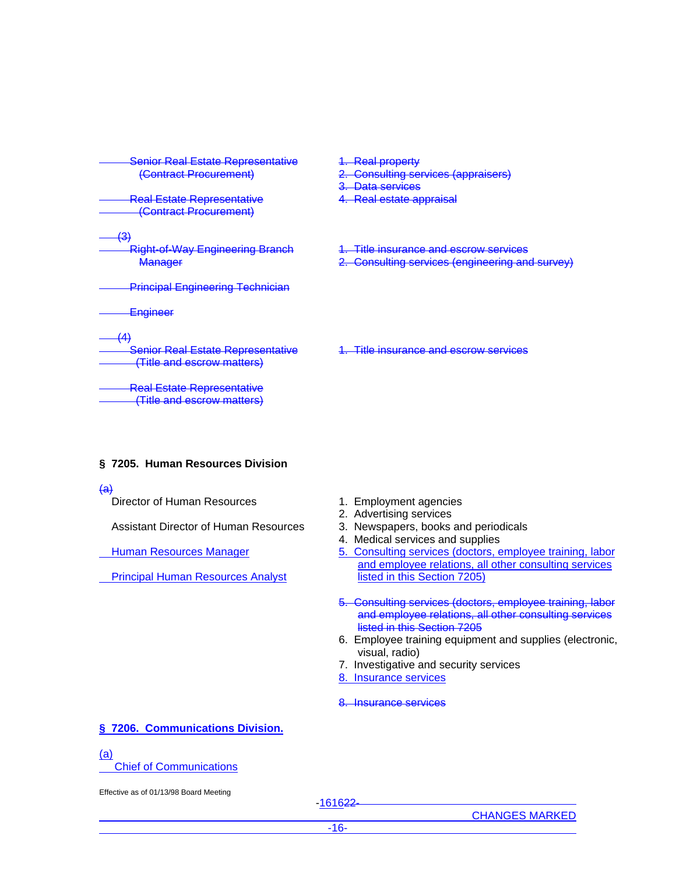| <b>Senior Real Estate Representative</b><br>(Contract Procurement)            | <b>Real property</b><br><b>Consulting services (appraisers)</b><br><del>Data services</del> |
|-------------------------------------------------------------------------------|---------------------------------------------------------------------------------------------|
| <b>Real Estate Representative</b><br>(Contract Procurement)                   | <del>ó.</del><br><b>Real estate appraisal</b>                                               |
| ּ י<br><b>Right-of-Way Engineering Branch</b><br>Manager                      | <u>Title insurance and escrow services</u><br>Consulting services (engineering and survey)  |
| <b>Principal Engineering Technician</b>                                       |                                                                                             |
| <del>Engineer</del>                                                           |                                                                                             |
| /۸۱<br><b>Senior Real Estate Representative</b><br>(Title and escrow matters) | <u>Title insurance and escrow services</u>                                                  |
| <b>Real Estate Representative</b><br>(Title and escrow matters)               |                                                                                             |

# **§ 7205. Human Resources Division**

#### $\overline{a}$

Director of Human Resources 1. Employment agencies

Assistant Director of Human Resources 3. Newspapers, books and periodicals

Human Resources Manager

Principal Human Resources Analyst

- 2. Advertising services
- 
- 4. Medical services and supplies
- 5. Consulting services (doctors, employee training, labor and employee relations, all other consulting services listed in this Section 7205)
- 5. Consulting services (doctors, employee training, labor and employee relations, all other consulting services listed in this Section 7205
- 6. Employee training equipment and supplies (electronic, visual, radio)
- 7. Investigative and security services
- 8. Insurance services

8. Insurance services

# **§ 7206. Communications Division.**

# (a)

Chief of Communications

Effective as of 01/13/98 Board Meeting

-161622-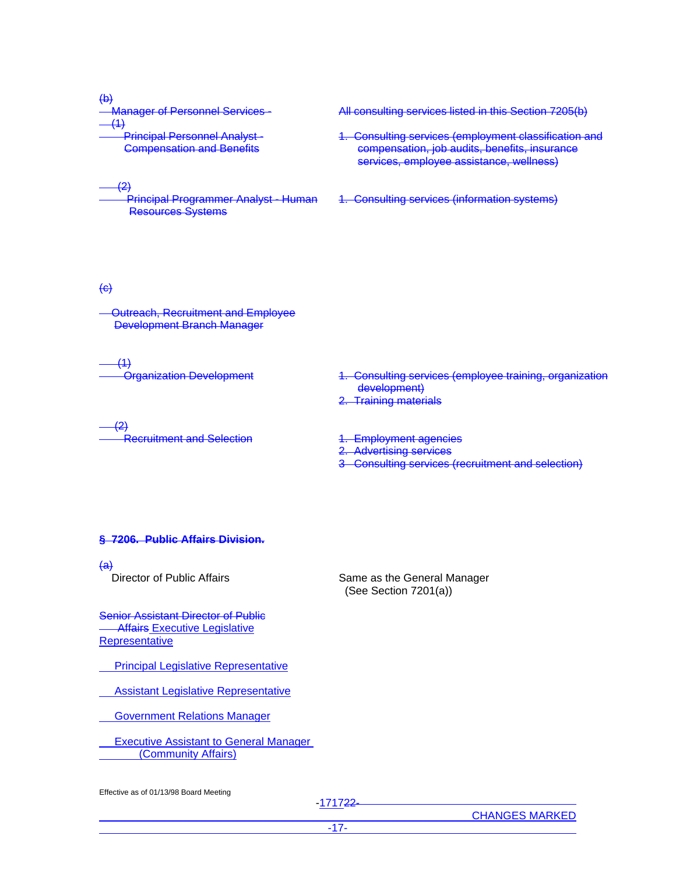<del>(b)</del><br>— Manager of Personnel Services  $(1)$  Principal Personnel Analyst - Compensation and Benefits

#### $-$  (2)

 Principal Programmer Analyst - Human Resources Systems

All consulting services listed in this Section 7205(b)

- 1. Consulting services (employment classification and compensation, job audits, benefits, insurance services, employee assistance, wellness)
- 1. Consulting services (information systems)

# $\leftrightarrow$

 Outreach, Recruitment and Employee Development Branch Manager

 $(1)$ 

 Organization Development 1. Consulting services (employee training, organization development) 2. Training materials

 $(2)$ ecruitment and Selection 1. Employment agencies

- 
- 2. Advertising services

Same as the General Manager (See Section 7201(a))

3 Consulting services (recruitment and selection)

#### **§ 7206. Public Affairs Division.**

<del>(a)</del><br>Director of Public Affairs

Senior Assistant Director of Public **Affairs Executive Legislative Representative** 

Principal Legislative Representative

Assistant Legislative Representative

Government Relations Manager

 Executive Assistant to General Manager (Community Affairs)

Effective as of 01/13/98 Board Meeting

-171722-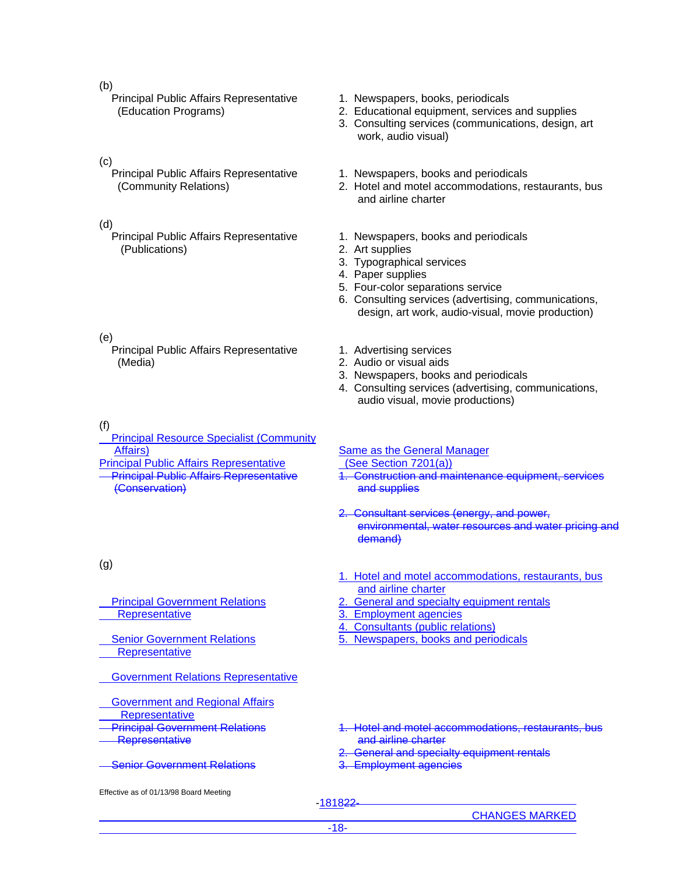#### (b)

 Principal Public Affairs Representative (Education Programs)

### (c)

 Principal Public Affairs Representative (Community Relations)

# (d)

 Principal Public Affairs Representative (Publications)

# (e)

 Principal Public Affairs Representative (Media)

### (f)

(g)

 Principal Resource Specialist (Community Affairs) Same as the General Manager

Principal Public Affairs Representative (See Section 7201(a)) Principal Public Affairs Representative (Conservation)

# 1. Newspapers, books, periodicals

- 2. Educational equipment, services and supplies
- 3. Consulting services (communications, design, art work, audio visual)
- 1. Newspapers, books and periodicals
- 2. Hotel and motel accommodations, restaurants, bus and airline charter
- 1. Newspapers, books and periodicals
- 2. Art supplies
- 3. Typographical services
- 4. Paper supplies
- 5. Four-color separations service
- 6. Consulting services (advertising, communications, design, art work, audio-visual, movie production)
- 1. Advertising services
- 2. Audio or visual aids
- 3. Newspapers, books and periodicals
- 4. Consulting services (advertising, communications, audio visual, movie productions)

- 1. Construction and maintenance equipment, services and supplies
- 2. Consultant services (energy, and power, environmental, water resources and water pricing and demand)
- 1. Hotel and motel accommodations, restaurants, bus and airline charter
- 2. General and specialty equipment rentals
- 3. Employment agencies
- 4. Consultants (public relations)
- 5. Newspapers, books and periodicals
- Government Relations Representative
- Government and Regional Affairs **Representative**

Principal Government Relations

Senior Government Relations

**Representative** 

**Representative** 

- Principal Government Relations **Representative**
- **Senior Government Relations**
- 1. Hotel and motel accommodations, restaurants, bus and airline charter
- General and specialty equipment rentals
- 3. Employment agencies

Effective as of 01/13/98 Board Meeting

-181822-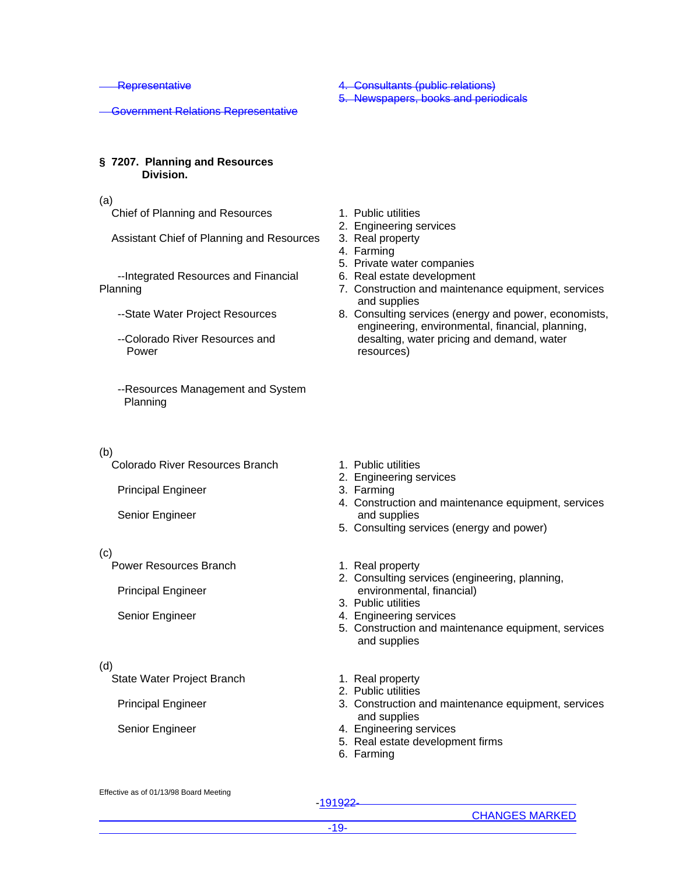**Representative** 

Government Relations Representative

# **§ 7207. Planning and Resources Division.**

#### (a)

Chief of Planning and Resources

Assistant Chief of Planning and Resources

 --Integrated Resources and Financial Planning

- --State Water Project Resources
- --Colorado River Resources and Power
- --Resources Management and System Planning

#### (b)

Colorado River Resources Branch

Principal Engineer

Senior Engineer

### (c)

Power Resources Branch

Principal Engineer

Senior Engineer

#### (d)

State Water Project Branch 1. Real property

4. Consultants (public relations)

5. Newspapers, books and periodicals

- 1. Public utilities
- 2. Engineering services
- 3. Real property
- 4. Farming
- 5. Private water companies
- 6. Real estate development
- 7. Construction and maintenance equipment, services and supplies
- 8. Consulting services (energy and power, economists, engineering, environmental, financial, planning, desalting, water pricing and demand, water resources)

- 1. Public utilities
- 2. Engineering services
- 3. Farming
- 4. Construction and maintenance equipment, services and supplies
- 5. Consulting services (energy and power)
- 1. Real property
- 2. Consulting services (engineering, planning, environmental, financial)
- 3. Public utilities
- 4. Engineering services
- 5. Construction and maintenance equipment, services and supplies
- 
- 2. Public utilities
- Principal Engineer 3. Construction and maintenance equipment, services and supplies
- Senior Engineer 4. Engineering services
	- 5. Real estate development firms
	- 6. Farming

Effective as of 01/13/98 Board Meeting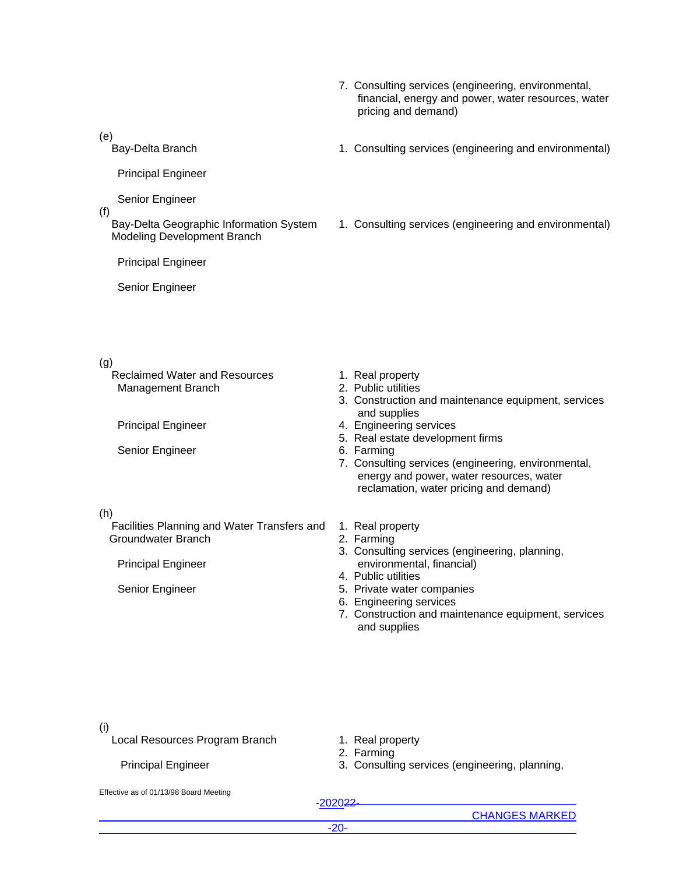- 7. Consulting services (engineering, environmental, financial, energy and power, water resources, water pricing and demand)
- Bay-Delta Branch 1. Consulting services (engineering and environmental)
	- 1. Consulting services (engineering and environmental)

(e)

Principal Engineer

Senior Engineer

(f)

 Bay-Delta Geographic Information System Modeling Development Branch

Principal Engineer

Senior Engineer

# (g)

 Reclaimed Water and Resources Management Branch

Senior Engineer 6. Farming

# (h)

 Facilities Planning and Water Transfers and Groundwater Branch

Principal Engineer

- 1. Real property
- 2. Public utilities
- 3. Construction and maintenance equipment, services and supplies
- Principal Engineer **4. Engineering services** 
	- 5. Real estate development firms
	-
	- 7. Consulting services (engineering, environmental, energy and power, water resources, water reclamation, water pricing and demand)
	- 1. Real property
	- 2. Farming
	- 3. Consulting services (engineering, planning, environmental, financial)
	- 4. Public utilities
- Senior Engineer 5. Private water companies
	- 6. Engineering services
	- 7. Construction and maintenance equipment, services and supplies

(i)

Local Resources Program Branch

Principal Engineer

- 1. Real property
- 2. Farming
- 3. Consulting services (engineering, planning,

Effective as of 01/13/98 Board Meeting

-202022-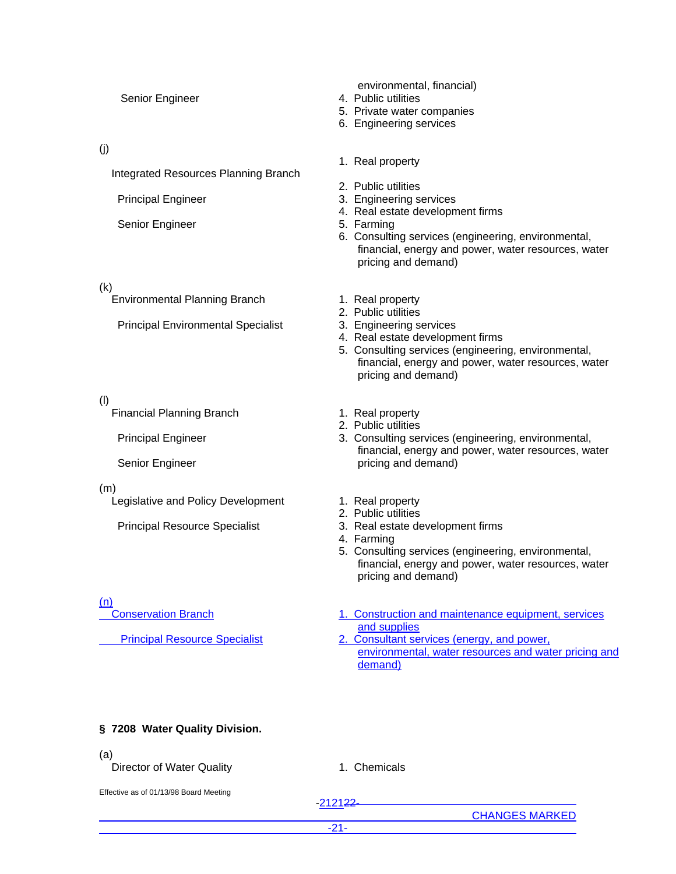| Senior Engineer                                                                          | environmental, financial)<br>4. Public utilities<br>5. Private water companies<br>6. Engineering services                                                                                                                                   |
|------------------------------------------------------------------------------------------|---------------------------------------------------------------------------------------------------------------------------------------------------------------------------------------------------------------------------------------------|
| (j)<br><b>Integrated Resources Planning Branch</b>                                       | 1. Real property<br>2. Public utilities                                                                                                                                                                                                     |
| <b>Principal Engineer</b><br>Senior Engineer                                             | 3. Engineering services<br>4. Real estate development firms<br>5. Farming<br>6. Consulting services (engineering, environmental,<br>financial, energy and power, water resources, water<br>pricing and demand)                              |
| (k)<br><b>Environmental Planning Branch</b><br><b>Principal Environmental Specialist</b> | 1. Real property<br>2. Public utilities<br>3. Engineering services<br>4. Real estate development firms<br>5. Consulting services (engineering, environmental,<br>financial, energy and power, water resources, water<br>pricing and demand) |
| (1)<br><b>Financial Planning Branch</b><br><b>Principal Engineer</b><br>Senior Engineer  | 1. Real property<br>2. Public utilities<br>3. Consulting services (engineering, environmental,<br>financial, energy and power, water resources, water<br>pricing and demand)                                                                |
| (m)<br>Legislative and Policy Development<br><b>Principal Resource Specialist</b>        | 1. Real property<br>2. Public utilities<br>3. Real estate development firms<br>4. Farming<br>5. Consulting services (engineering, environmental,<br>financial, energy and power, water resources, water<br>pricing and demand)              |
| (n)<br><b>Conservation Branch</b><br><b>Principal Resource Specialist</b>                | 1. Construction and maintenance equipment, services<br>and supplies<br>2. Consultant services (energy, and power,<br>environmental, water resources and water pricing and<br>demand)                                                        |
| § 7208 Water Quality Division.                                                           |                                                                                                                                                                                                                                             |
| (a)<br>Director of Water Quality                                                         | 1. Chemicals                                                                                                                                                                                                                                |
| Effective as of 01/13/98 Board Meeting                                                   | $-212122$                                                                                                                                                                                                                                   |

-21-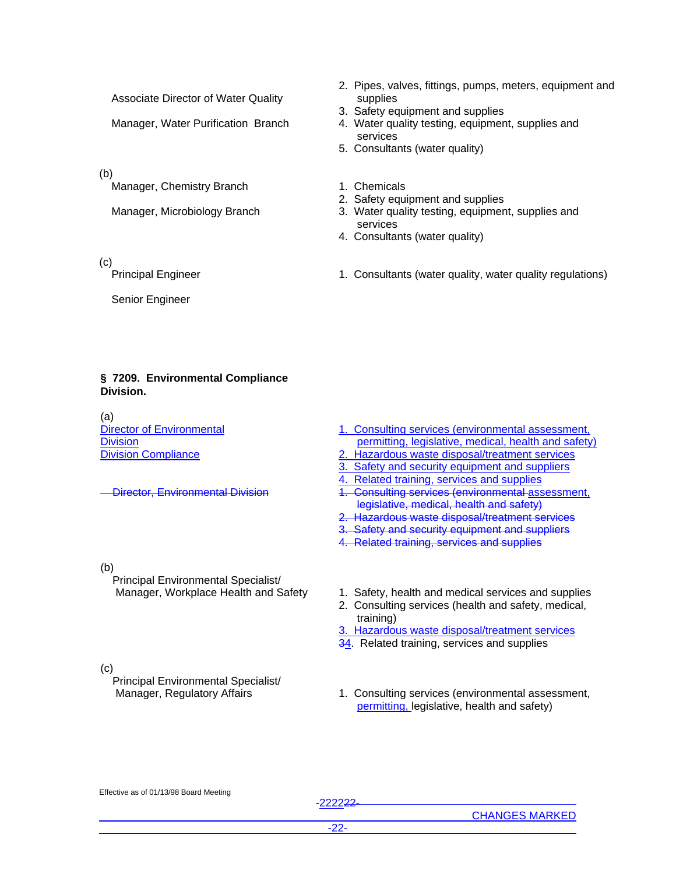Associate Director of Water Quality

(b)

Manager, Chemistry Branch 1. Chemicals

(c)

Senior Engineer

- 2. Pipes, valves, fittings, pumps, meters, equipment and supplies
- 3. Safety equipment and supplies
- Manager, Water Purification Branch 4. Water quality testing, equipment, supplies and services
	- 5. Consultants (water quality)
	-
	- 2. Safety equipment and supplies
- Manager, Microbiology Branch 3. Water quality testing, equipment, supplies and services
	- 4. Consultants (water quality)
- Principal Engineer 1. Consultants (water quality, water quality regulations)

# **§ 7209. Environmental Compliance Division.**

(a) Director of Environmental **Division** Division Compliance

(b)

 Principal Environmental Specialist/ Manager, Workplace Health and Safety 1. Safety, health and medical services and supplies

- 1. Consulting services (environmental assessment, permitting, legislative, medical, health and safety)
- 2. Hazardous waste disposal/treatment services
- 3. Safety and security equipment and suppliers
- 4. Related training, services and supplies
- Director, Environmental Division 1. Consulting services (environmental assessment, legislative, medical, health and safety)
	- 2. Hazardous waste disposal/treatment services
	- 3. Safety and security equipment and suppliers
	- 4. Related training, services and supplies

(c)

Principal Environmental Specialist/

2. Consulting services (health and safety, medical,

3. Hazardous waste disposal/treatment services 34. Related training, services and supplies

Manager, Regulatory Affairs 1. Consulting services (environmental assessment, permitting, legislative, health and safety)

Effective as of 01/13/98 Board Meeting

training)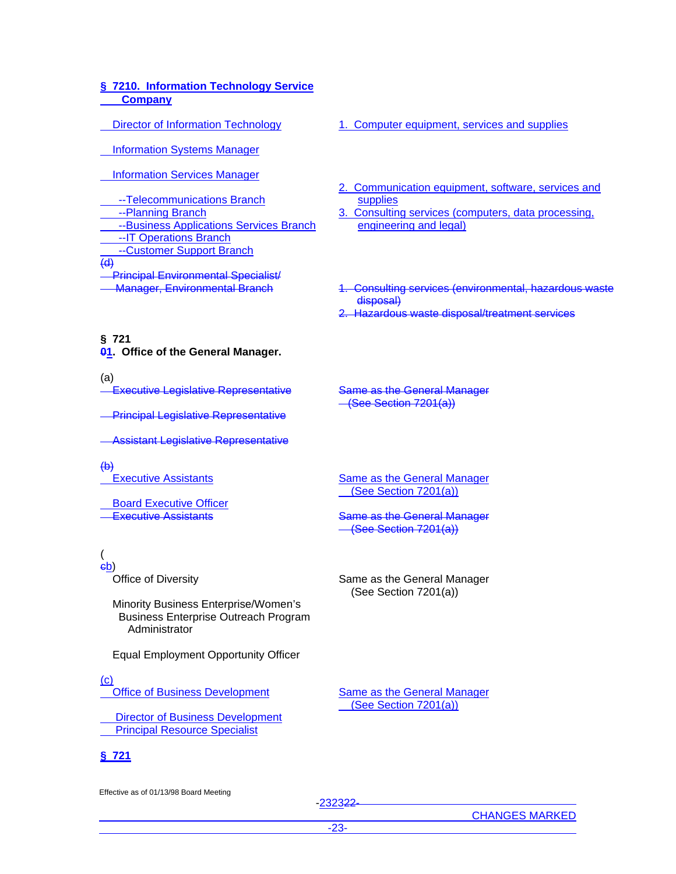# **§ 7210. Information Technology Service Company**

Director of Information Technology

Information Systems Manager

Information Services Manager

 --Telecommunications Branch --Planning Branch --Business Applications Services Branch --IT Operations Branch --Customer Support Branch  $\overline{(d)}$ Principal Environmental Specialist/

- 1. Computer equipment, services and supplies
- 2. Communication equipment, software, services and supplies
- 3. Consulting services (computers, data processing, engineering and legal)
- Manager, Environmental Branch 1. Consulting services (environmental, hazardous waste disposal)
	- **Hazardous waste disposal/treatment services**

# **§ 721 01. Office of the General Manager.**

(a)

.<br>Executive Legislative Representative

**Principal Legislative Representative** 

Assistant Legislative Representative

### $\left(\mathbf{\Theta}\right)$

Executive Assistants

Board Executive Officer

( cb)

Office of Diversity

 Minority Business Enterprise/Women's Business Enterprise Outreach Program **Administrator** 

Equal Employment Opportunity Officer

# $(c)$

Office of Business Development

 Director of Business Development Principal Resource Specialist

# **§ 721**

Effective as of 01/13/98 Board Meeting

Same as the General Manager (See Section 7201(a))

Same as the General Manager (See Section 7201(a))

**Executive Assistants Executive Assistants Same as the General Manager** (See Section 7201(a))

> Same as the General Manager (See Section 7201(a))

> Same as the General Manager (See Section 7201(a))

-232322-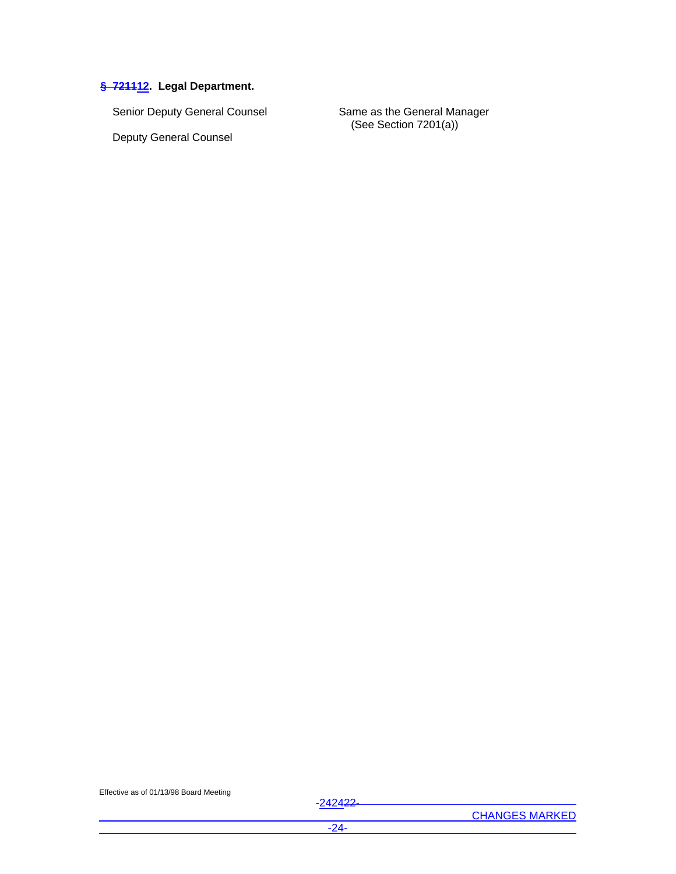# **§ 721112. Legal Department.**

Senior Deputy General Counsel Same as the General Manager

Deputy General Counsel

(See Section 7201(a))

Effective as of 01/13/98 Board Meeting